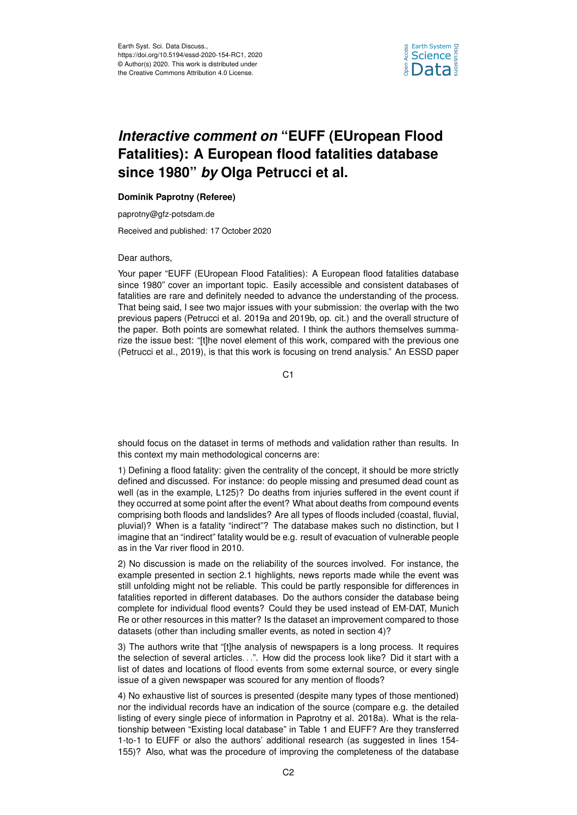

## *Interactive comment on* **"EUFF (EUropean Flood Fatalities): A European flood fatalities database since 1980"** *by* **Olga Petrucci et al.**

## **Dominik Paprotny (Referee)**

paprotny@gfz-potsdam.de

Received and published: 17 October 2020

## Dear authors,

Your paper "EUFF (EUropean Flood Fatalities): A European flood fatalities database since 1980" cover an important topic. Easily accessible and consistent databases of fatalities are rare and definitely needed to advance the understanding of the process. That being said, I see two major issues with your submission: the overlap with the two previous papers (Petrucci et al. 2019a and 2019b, op. cit.) and the overall structure of the paper. Both points are somewhat related. I think the authors themselves summarize the issue best: "[t]he novel element of this work, compared with the previous one (Petrucci et al., 2019), is that this work is focusing on trend analysis." An ESSD paper

C1

should focus on the dataset in terms of methods and validation rather than results. In this context my main methodological concerns are:

1) Defining a flood fatality: given the centrality of the concept, it should be more strictly defined and discussed. For instance: do people missing and presumed dead count as well (as in the example, L125)? Do deaths from injuries suffered in the event count if they occurred at some point after the event? What about deaths from compound events comprising both floods and landslides? Are all types of floods included (coastal, fluvial, pluvial)? When is a fatality "indirect"? The database makes such no distinction, but I imagine that an "indirect" fatality would be e.g. result of evacuation of vulnerable people as in the Var river flood in 2010.

2) No discussion is made on the reliability of the sources involved. For instance, the example presented in section 2.1 highlights, news reports made while the event was still unfolding might not be reliable. This could be partly responsible for differences in fatalities reported in different databases. Do the authors consider the database being complete for individual flood events? Could they be used instead of EM-DAT, Munich Re or other resources in this matter? Is the dataset an improvement compared to those datasets (other than including smaller events, as noted in section 4)?

3) The authors write that "[t]he analysis of newspapers is a long process. It requires the selection of several articles...". How did the process look like? Did it start with a list of dates and locations of flood events from some external source, or every single issue of a given newspaper was scoured for any mention of floods?

4) No exhaustive list of sources is presented (despite many types of those mentioned) nor the individual records have an indication of the source (compare e.g. the detailed listing of every single piece of information in Paprotny et al. 2018a). What is the relationship between "Existing local database" in Table 1 and EUFF? Are they transferred 1-to-1 to EUFF or also the authors' additional research (as suggested in lines 154- 155)? Also, what was the procedure of improving the completeness of the database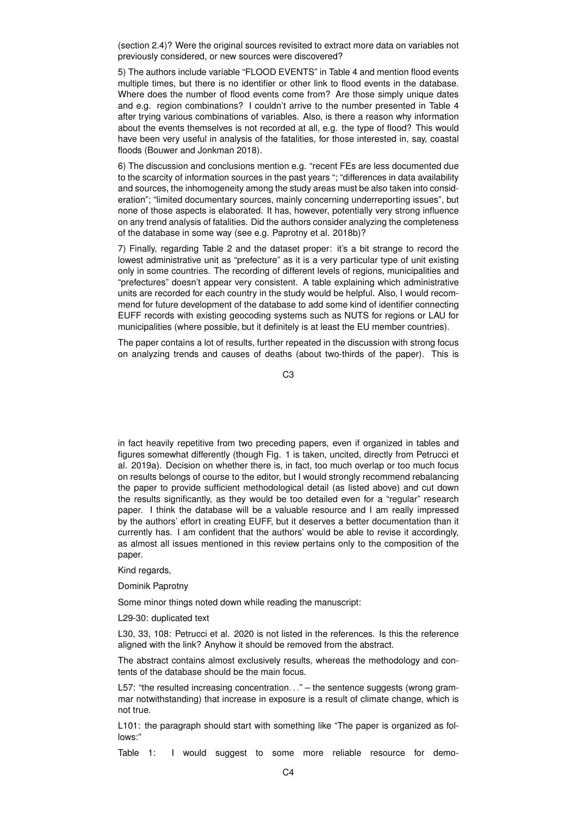(section 2.4)? Were the original sources revisited to extract more data on variables not previously considered, or new sources were discovered?

5) The authors include variable "FLOOD EVENTS" in Table 4 and mention flood events multiple times, but there is no identifier or other link to flood events in the database. Where does the number of flood events come from? Are those simply unique dates and e.g. region combinations? I couldn't arrive to the number presented in Table 4 after trying various combinations of variables. Also, is there a reason why information about the events themselves is not recorded at all, e.g. the type of flood? This would have been very useful in analysis of the fatalities, for those interested in, say, coastal floods (Bouwer and Jonkman 2018).

6) The discussion and conclusions mention e.g. "recent FEs are less documented due to the scarcity of information sources in the past years "; "differences in data availability and sources, the inhomogeneity among the study areas must be also taken into consideration"; "limited documentary sources, mainly concerning underreporting issues", but none of those aspects is elaborated. It has, however, potentially very strong influence on any trend analysis of fatalities. Did the authors consider analyzing the completeness of the database in some way (see e.g. Paprotny et al. 2018b)?

7) Finally, regarding Table 2 and the dataset proper: it's a bit strange to record the lowest administrative unit as "prefecture" as it is a very particular type of unit existing only in some countries. The recording of different levels of regions, municipalities and "prefectures" doesn't appear very consistent. A table explaining which administrative units are recorded for each country in the study would be helpful. Also, I would recommend for future development of the database to add some kind of identifier connecting EUFF records with existing geocoding systems such as NUTS for regions or LAU for municipalities (where possible, but it definitely is at least the EU member countries).

The paper contains a lot of results, further repeated in the discussion with strong focus on analyzing trends and causes of deaths (about two-thirds of the paper). This is

 $C<sub>3</sub>$ 

in fact heavily repetitive from two preceding papers, even if organized in tables and figures somewhat differently (though Fig. 1 is taken, uncited, directly from Petrucci et al. 2019a). Decision on whether there is, in fact, too much overlap or too much focus on results belongs of course to the editor, but I would strongly recommend rebalancing the paper to provide sufficient methodological detail (as listed above) and cut down the results significantly, as they would be too detailed even for a "regular" research paper. I think the database will be a valuable resource and I am really impressed by the authors' effort in creating EUFF, but it deserves a better documentation than it currently has. I am confident that the authors' would be able to revise it accordingly, as almost all issues mentioned in this review pertains only to the composition of the paper.

Kind regards,

Dominik Paprotny

Some minor things noted down while reading the manuscript:

L29-30: duplicated text

L30, 33, 108: Petrucci et al. 2020 is not listed in the references. Is this the reference aligned with the link? Anyhow it should be removed from the abstract.

The abstract contains almost exclusively results, whereas the methodology and contents of the database should be the main focus.

L57: "the resulted increasing concentration..."  $-$  the sentence suggests (wrong grammar notwithstanding) that increase in exposure is a result of climate change, which is not true.

L101: the paragraph should start with something like "The paper is organized as follows:"

Table 1: I would suggest to some more reliable resource for demo-